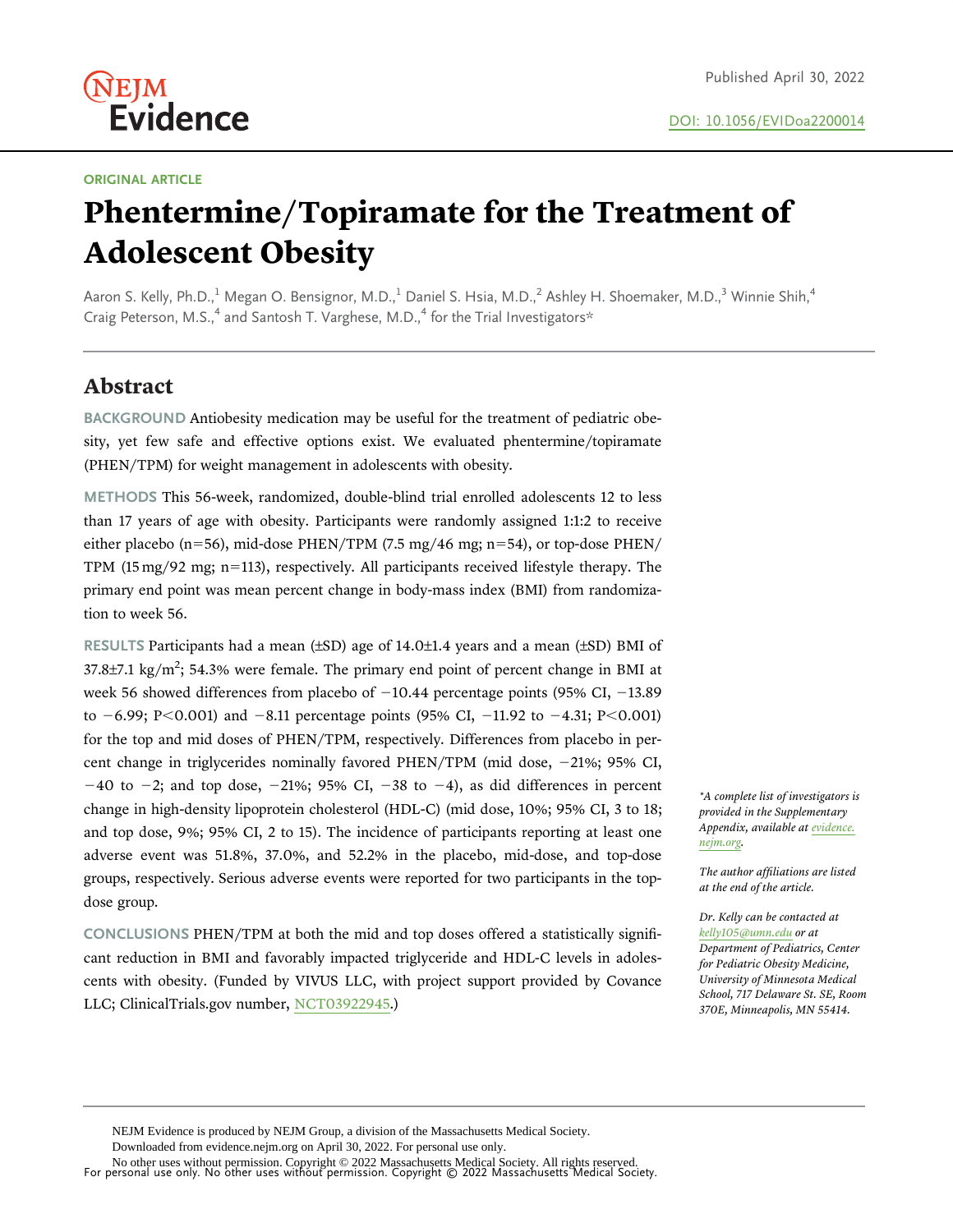#### ORIGINAL ARTICLE

Evidence

(NEJM

# Phentermine/Topiramate for the Treatment of Adolescent Obesity

Aaron S. Kelly, Ph.D.,<sup>[1](#page-9-0)</sup> Megan O. Bensignor, M.D.,<sup>1</sup> Daniel S. Hsia, M.D.,<sup>[2](#page-9-0)</sup> Ashley H. Shoemaker, M.D.,<sup>[3](#page-9-0)</sup> Winnie Shih,<sup>4</sup> Craig Peterson, M.S.,<sup>[4](#page-9-0)</sup> and Santosh T. Varghese, M.D.,<sup>4</sup> for the Trial Investigators\*

# Abstract

BACKGROUND Antiobesity medication may be useful for the treatment of pediatric obesity, yet few safe and effective options exist. We evaluated phentermine/topiramate (PHEN/TPM) for weight management in adolescents with obesity.

METHODS This 56-week, randomized, double-blind trial enrolled adolescents 12 to less than 17 years of age with obesity. Participants were randomly assigned 1:1:2 to receive either placebo (n=56), mid-dose PHEN/TPM (7.5 mg/46 mg; n=54), or top-dose PHEN/ TPM  $(15 \text{ mg}/92 \text{ mg}; \text{n}=113)$ , respectively. All participants received lifestyle therapy. The primary end point was mean percent change in body-mass index (BMI) from randomization to week 56.

RESULTS Participants had a mean (±SD) age of 14.0±1.4 years and a mean (±SD) BMI of 37.8 $\pm$ 7.1 kg/m<sup>2</sup>; 54.3% were female. The primary end point of percent change in BMI at week 56 showed differences from placebo of  $-10.44$  percentage points (95% CI,  $-13.89$ to  $-6.99$ ; P $< 0.001$ ) and  $-8.11$  percentage points (95% CI,  $-11.92$  to  $-4.31$ ; P $< 0.001$ ) for the top and mid doses of PHEN/TPM, respectively. Differences from placebo in percent change in triglycerides nominally favored PHEN/TPM (mid dose, -21%; 95% CI,  $-40$  to  $-2$ ; and top dose,  $-21\%$ ; 95% CI,  $-38$  to  $-4$ ), as did differences in percent change in high-density lipoprotein cholesterol (HDL-C) (mid dose, 10%; 95% CI, 3 to 18; and top dose, 9%; 95% CI, 2 to 15). The incidence of participants reporting at least one adverse event was 51.8%, 37.0%, and 52.2% in the placebo, mid-dose, and top-dose groups, respectively. Serious adverse events were reported for two participants in the topdose group.

CONCLUSIONS PHEN/TPM at both the mid and top doses offered a statistically significant reduction in BMI and favorably impacted triglyceride and HDL-C levels in adolescents with obesity. (Funded by VIVUS LLC, with project support provided by Covance LLC; ClinicalTrials.gov number, [NCT03922945.](http://clinicaltrials.gov/show/NCT03922945))

\*A complete list of investigators is provided in the Supplementary Appendix, available at [evidence.](http://evidence.nejm.org) [nejm.org.](http://evidence.nejm.org)

The author affiliations are listed at the end of the article.

Dr. Kelly can be contacted at [kelly105@umn.edu](mailto:kelly105@umn.edu) or at Department of Pediatrics, Center for Pediatric Obesity Medicine, University of Minnesota Medical School, 717 Delaware St. SE, Room 370E, Minneapolis, MN 55414.

NEJM Evidence is produced by NEJM Group, a division of the Massachusetts Medical Society.

Downloaded from evidence.nejm.org on April 30, 2022. For personal use only.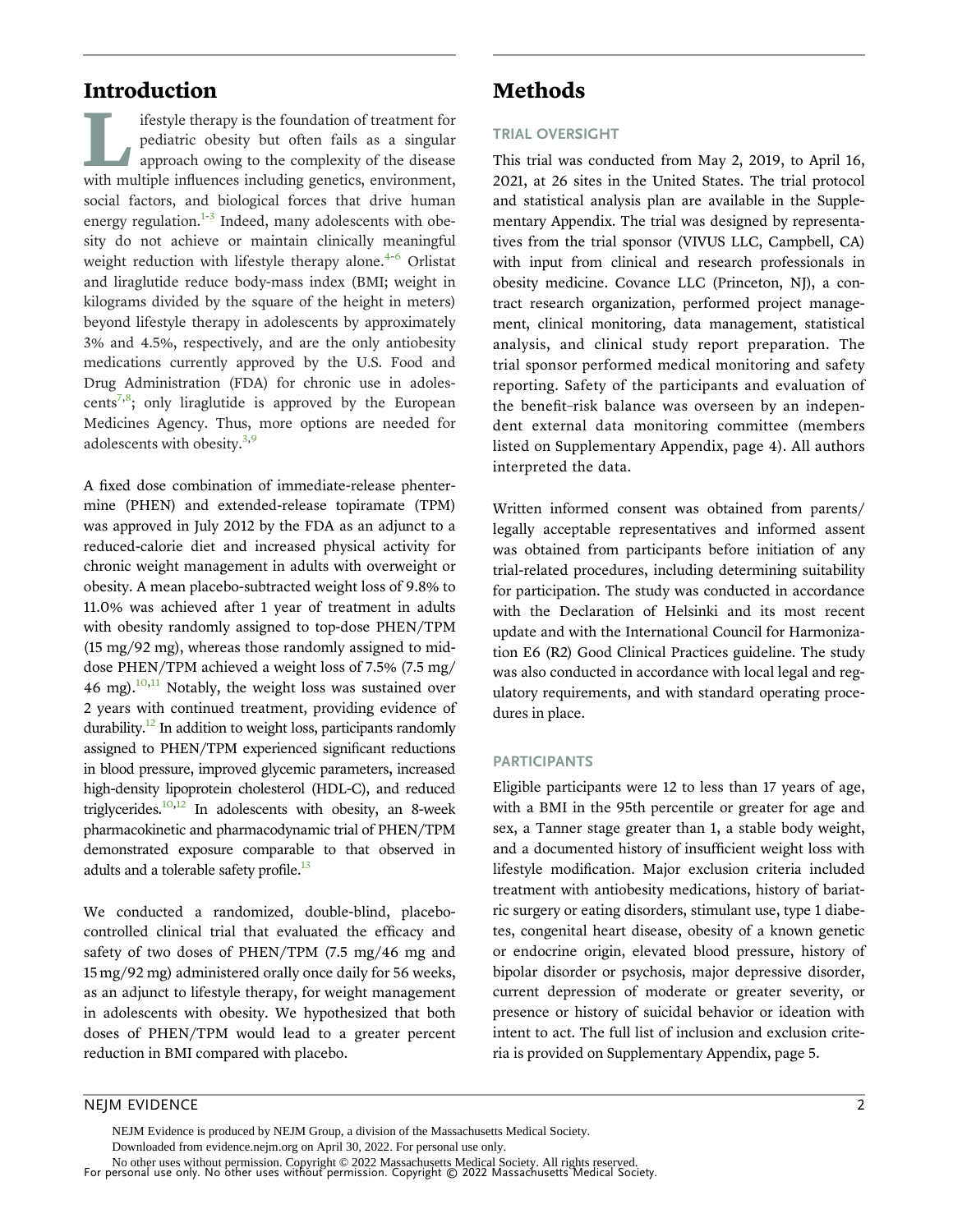# Introduction

ifestyle therapy is the foundation of treatment for pediatric obesity but often fails as a singular approach owing to the complexity of the disease with multiple influences including genetics, environment, social factors, and biological forces that drive human energy regulation. $1-3$  Indeed, many adolescents with obesity do not achieve or maintain clinically meaningful weight reduction with lifestyle therapy alone. $4-6$  $4-6$  Orlistat and liraglutide reduce body-mass index (BMI; weight in kilograms divided by the square of the height in meters) beyond lifestyle therapy in adolescents by approximately 3% and 4.5%, respectively, and are the only antiobesity medications currently approved by the U.S. Food and Drug Administration (FDA) for chronic use in adolescents<sup>7,8</sup>; only liraglutide is approved by the European Medicines Agency. Thus, more options are needed for adolescents with obesity. $3,9$  $3,9$ 

A fixed dose combination of immediate-release phentermine (PHEN) and extended-release topiramate (TPM) was approved in July 2012 by the FDA as an adjunct to a reduced-calorie diet and increased physical activity for chronic weight management in adults with overweight or obesity. A mean placebo-subtracted weight loss of 9.8% to 11.0% was achieved after 1 year of treatment in adults with obesity randomly assigned to top-dose PHEN/TPM (15 mg/92 mg), whereas those randomly assigned to middose PHEN/TPM achieved a weight loss of 7.5% (7.5 mg/ 46 mg). $^{10,11}$  Notably, the weight loss was sustained over 2 years with continued treatment, providing evidence of durability. $\frac{12}{12}$  $\frac{12}{12}$  $\frac{12}{12}$  In addition to weight loss, participants randomly assigned to PHEN/TPM experienced significant reductions in blood pressure, improved glycemic parameters, increased high-density lipoprotein cholesterol (HDL-C), and reduced triglycerides. $10,12$  In adolescents with obesity, an 8-week pharmacokinetic and pharmacodynamic trial of PHEN/TPM demonstrated exposure comparable to that observed in adults and a tolerable safety profile.<sup>13</sup>

We conducted a randomized, double-blind, placebocontrolled clinical trial that evaluated the efficacy and safety of two doses of PHEN/TPM (7.5 mg/46 mg and 15 mg/92 mg) administered orally once daily for 56 weeks, as an adjunct to lifestyle therapy, for weight management in adolescents with obesity. We hypothesized that both doses of PHEN/TPM would lead to a greater percent reduction in BMI compared with placebo.

# Methods

#### TRIAL OVERSIGHT

This trial was conducted from May 2, 2019, to April 16, 2021, at 26 sites in the United States. The trial protocol and statistical analysis plan are available in the Supplementary Appendix. The trial was designed by representatives from the trial sponsor (VIVUS LLC, Campbell, CA) with input from clinical and research professionals in obesity medicine. Covance LLC (Princeton, NJ), a contract research organization, performed project management, clinical monitoring, data management, statistical analysis, and clinical study report preparation. The trial sponsor performed medical monitoring and safety reporting. Safety of the participants and evaluation of the benefit–risk balance was overseen by an independent external data monitoring committee (members listed on Supplementary Appendix, page 4). All authors interpreted the data.

Written informed consent was obtained from parents/ legally acceptable representatives and informed assent was obtained from participants before initiation of any trial-related procedures, including determining suitability for participation. The study was conducted in accordance with the Declaration of Helsinki and its most recent update and with the International Council for Harmonization E6 (R2) Good Clinical Practices guideline. The study was also conducted in accordance with local legal and regulatory requirements, and with standard operating procedures in place.

#### PARTICIPANTS

Eligible participants were 12 to less than 17 years of age, with a BMI in the 95th percentile or greater for age and sex, a Tanner stage greater than 1, a stable body weight, and a documented history of insufficient weight loss with lifestyle modification. Major exclusion criteria included treatment with antiobesity medications, history of bariatric surgery or eating disorders, stimulant use, type 1 diabetes, congenital heart disease, obesity of a known genetic or endocrine origin, elevated blood pressure, history of bipolar disorder or psychosis, major depressive disorder, current depression of moderate or greater severity, or presence or history of suicidal behavior or ideation with intent to act. The full list of inclusion and exclusion criteria is provided on Supplementary Appendix, page 5.

## NEJM EVIDENCE 2

For personal use only. No other uses without permission. Copyright © 2022 Massachusetts Medical Society. No other uses without permission. Copyright © 2022 Massachusetts Medical Society. All rights reserved. NEJM Evidence is produced by NEJM Group, a division of the Massachusetts Medical Society. Downloaded from evidence.nejm.org on April 30, 2022. For personal use only.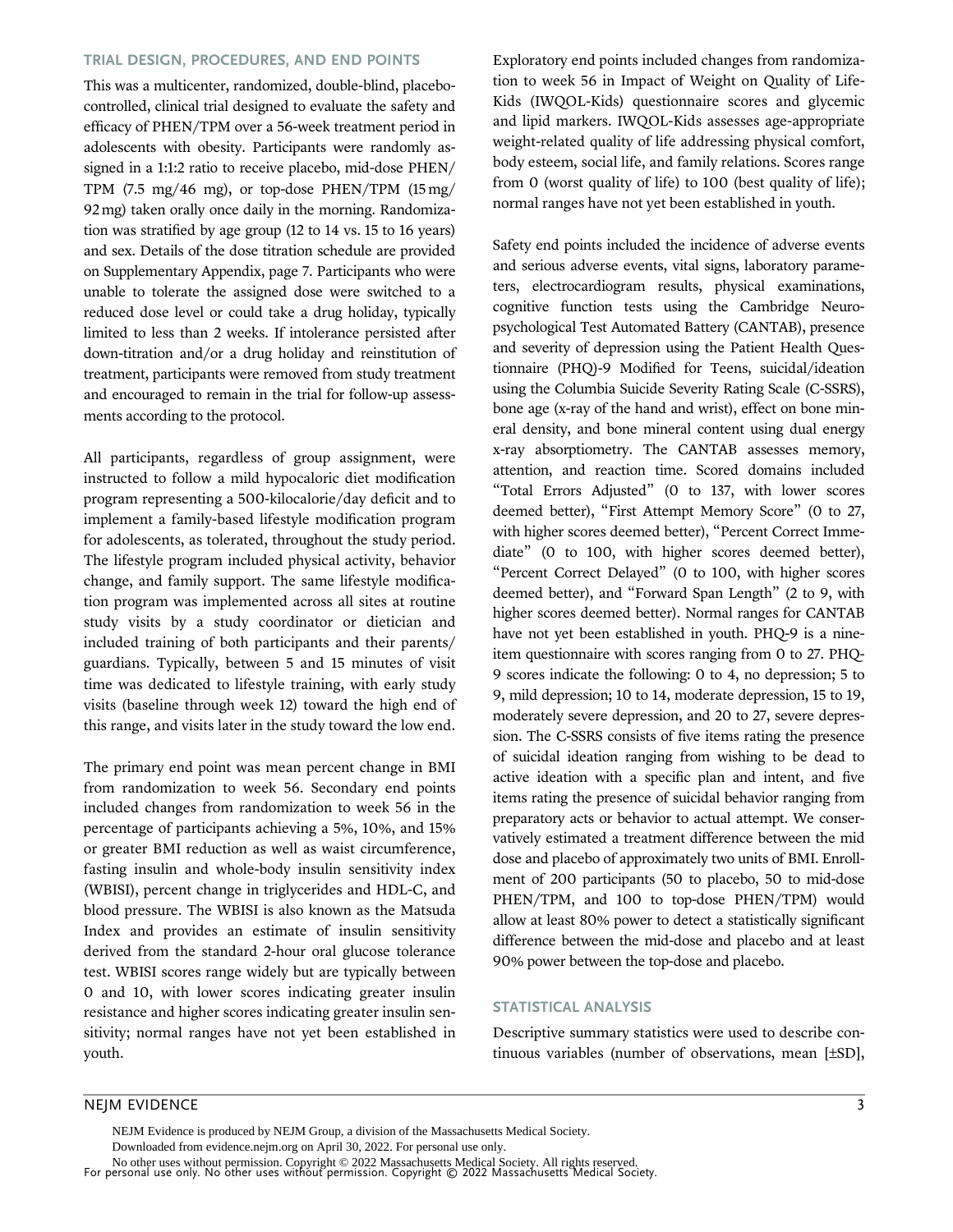#### TRIAL DESIGN, PROCEDURES, AND END POINTS

This was a multicenter, randomized, double-blind, placebocontrolled, clinical trial designed to evaluate the safety and efficacy of PHEN/TPM over a 56-week treatment period in adolescents with obesity. Participants were randomly assigned in a 1:1:2 ratio to receive placebo, mid-dose PHEN/ TPM (7.5 mg/46 mg), or top-dose PHEN/TPM (15 mg/ 92 mg) taken orally once daily in the morning. Randomization was stratified by age group (12 to 14 vs. 15 to 16 years) and sex. Details of the dose titration schedule are provided on Supplementary Appendix, page 7. Participants who were unable to tolerate the assigned dose were switched to a reduced dose level or could take a drug holiday, typically limited to less than 2 weeks. If intolerance persisted after down-titration and/or a drug holiday and reinstitution of treatment, participants were removed from study treatment and encouraged to remain in the trial for follow-up assessments according to the protocol.

All participants, regardless of group assignment, were instructed to follow a mild hypocaloric diet modification program representing a 500-kilocalorie/day deficit and to implement a family-based lifestyle modification program for adolescents, as tolerated, throughout the study period. The lifestyle program included physical activity, behavior change, and family support. The same lifestyle modification program was implemented across all sites at routine study visits by a study coordinator or dietician and included training of both participants and their parents/ guardians. Typically, between 5 and 15 minutes of visit time was dedicated to lifestyle training, with early study visits (baseline through week 12) toward the high end of this range, and visits later in the study toward the low end.

The primary end point was mean percent change in BMI from randomization to week 56. Secondary end points included changes from randomization to week 56 in the percentage of participants achieving a 5%, 10%, and 15% or greater BMI reduction as well as waist circumference, fasting insulin and whole-body insulin sensitivity index (WBISI), percent change in triglycerides and HDL-C, and blood pressure. The WBISI is also known as the Matsuda Index and provides an estimate of insulin sensitivity derived from the standard 2-hour oral glucose tolerance test. WBISI scores range widely but are typically between 0 and 10, with lower scores indicating greater insulin resistance and higher scores indicating greater insulin sensitivity; normal ranges have not yet been established in youth.

Exploratory end points included changes from randomization to week 56 in Impact of Weight on Quality of Life-Kids (IWQOL-Kids) questionnaire scores and glycemic and lipid markers. IWQOL-Kids assesses age-appropriate weight-related quality of life addressing physical comfort, body esteem, social life, and family relations. Scores range from 0 (worst quality of life) to 100 (best quality of life); normal ranges have not yet been established in youth.

Safety end points included the incidence of adverse events and serious adverse events, vital signs, laboratory parameters, electrocardiogram results, physical examinations, cognitive function tests using the Cambridge Neuropsychological Test Automated Battery (CANTAB), presence and severity of depression using the Patient Health Questionnaire (PHQ)-9 Modified for Teens, suicidal/ideation using the Columbia Suicide Severity Rating Scale (C-SSRS), bone age (x-ray of the hand and wrist), effect on bone mineral density, and bone mineral content using dual energy x-ray absorptiometry. The CANTAB assesses memory, attention, and reaction time. Scored domains included "Total Errors Adjusted" (0 to 137, with lower scores deemed better), "First Attempt Memory Score" (0 to 27, with higher scores deemed better), "Percent Correct Immediate" (0 to 100, with higher scores deemed better), "Percent Correct Delayed" (0 to 100, with higher scores deemed better), and "Forward Span Length" (2 to 9, with higher scores deemed better). Normal ranges for CANTAB have not yet been established in youth. PHQ-9 is a nineitem questionnaire with scores ranging from 0 to 27. PHQ-9 scores indicate the following: 0 to 4, no depression; 5 to 9, mild depression; 10 to 14, moderate depression, 15 to 19, moderately severe depression, and 20 to 27, severe depression. The C-SSRS consists of five items rating the presence of suicidal ideation ranging from wishing to be dead to active ideation with a specific plan and intent, and five items rating the presence of suicidal behavior ranging from preparatory acts or behavior to actual attempt. We conservatively estimated a treatment difference between the mid dose and placebo of approximately two units of BMI. Enrollment of 200 participants (50 to placebo, 50 to mid-dose PHEN/TPM, and 100 to top-dose PHEN/TPM) would allow at least 80% power to detect a statistically significant difference between the mid-dose and placebo and at least 90% power between the top-dose and placebo.

#### STATISTICAL ANALYSIS

Descriptive summary statistics were used to describe continuous variables (number of observations, mean  $[\pm SD]$ ,

### NEJM EVIDENCE 3

For personal use only. No other uses without permission. Copyright © 2022 Massachusetts Medical Society. No other uses without permission. Copyright © 2022 Massachusetts Medical Society. All rights reserved. NEJM Evidence is produced by NEJM Group, a division of the Massachusetts Medical Society. Downloaded from evidence.nejm.org on April 30, 2022. For personal use only.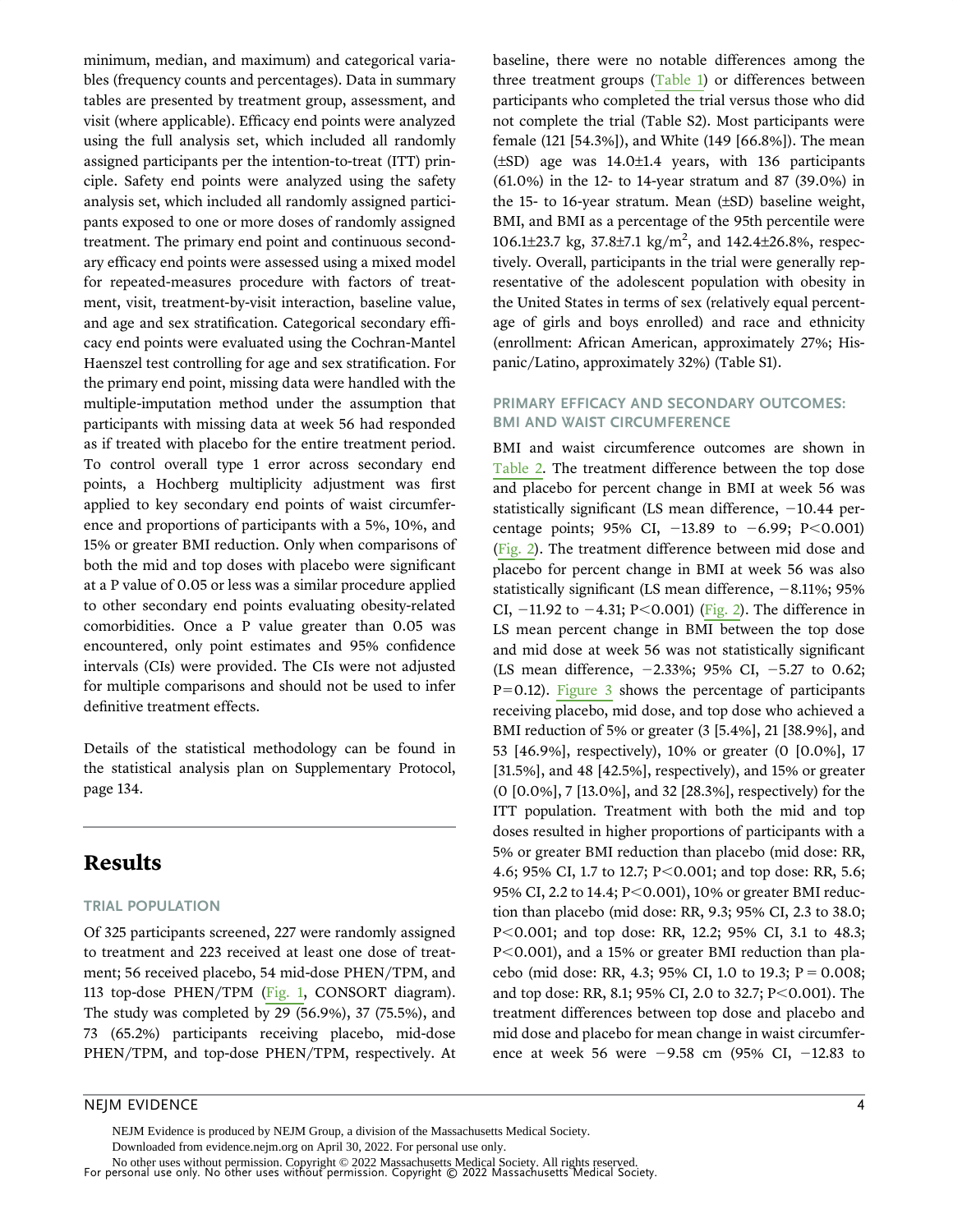minimum, median, and maximum) and categorical variables (frequency counts and percentages). Data in summary tables are presented by treatment group, assessment, and visit (where applicable). Efficacy end points were analyzed using the full analysis set, which included all randomly assigned participants per the intention-to-treat (ITT) principle. Safety end points were analyzed using the safety analysis set, which included all randomly assigned participants exposed to one or more doses of randomly assigned treatment. The primary end point and continuous secondary efficacy end points were assessed using a mixed model for repeated-measures procedure with factors of treatment, visit, treatment-by-visit interaction, baseline value, and age and sex stratification. Categorical secondary efficacy end points were evaluated using the Cochran-Mantel Haenszel test controlling for age and sex stratification. For the primary end point, missing data were handled with the multiple-imputation method under the assumption that participants with missing data at week 56 had responded as if treated with placebo for the entire treatment period. To control overall type 1 error across secondary end points, a Hochberg multiplicity adjustment was first applied to key secondary end points of waist circumference and proportions of participants with a 5%, 10%, and 15% or greater BMI reduction. Only when comparisons of both the mid and top doses with placebo were significant at a P value of 0.05 or less was a similar procedure applied to other secondary end points evaluating obesity-related comorbidities. Once a P value greater than 0.05 was encountered, only point estimates and 95% confidence intervals (CIs) were provided. The CIs were not adjusted for multiple comparisons and should not be used to infer definitive treatment effects.

Details of the statistical methodology can be found in the statistical analysis plan on Supplementary Protocol, page 134.

# Results

#### TRIAL POPULATION

Of 325 participants screened, 227 were randomly assigned to treatment and 223 received at least one dose of treatment; 56 received placebo, 54 mid-dose PHEN/TPM, and 113 top-dose PHEN/TPM ([Fig. 1](#page-4-0), CONSORT diagram). The study was completed by 29 (56.9%), 37 (75.5%), and 73 (65.2%) participants receiving placebo, mid-dose PHEN/TPM, and top-dose PHEN/TPM, respectively. At baseline, there were no notable differences among the three treatment groups [\(Table 1](#page-5-0)) or differences between participants who completed the trial versus those who did not complete the trial (Table S2). Most participants were female (121 [54.3%]), and White (149 [66.8%]). The mean  $(\pm SD)$  age was 14.0 $\pm$ 1.4 years, with 136 participants (61.0%) in the 12- to 14-year stratum and 87 (39.0%) in the 15- to 16-year stratum. Mean  $(\pm SD)$  baseline weight, BMI, and BMI as a percentage of the 95th percentile were 106.1±23.7 kg, 37.8±7.1 kg/m<sup>2</sup>, and 142.4±26.8%, respectively. Overall, participants in the trial were generally representative of the adolescent population with obesity in the United States in terms of sex (relatively equal percentage of girls and boys enrolled) and race and ethnicity (enrollment: African American, approximately 27%; Hispanic/Latino, approximately 32%) (Table S1).

#### PRIMARY EFFICACY AND SECONDARY OUTCOMES: BMI AND WAIST CIRCUMFERENCE

BMI and waist circumference outcomes are shown in [Table 2.](#page-6-0) The treatment difference between the top dose and placebo for percent change in BMI at week 56 was statistically significant (LS mean difference,  $-10.44$  percentage points; 95% CI,  $-13.89$  to  $-6.99$ ; P<0.001) [\(Fig. 2](#page-7-0)). The treatment difference between mid dose and placebo for percent change in BMI at week 56 was also statistically significant (LS mean difference,  $-8.11\%$ ; 95% CI,  $-11.92$  to  $-4.31$ ; P<0.001) ([Fig. 2\)](#page-7-0). The difference in LS mean percent change in BMI between the top dose and mid dose at week 56 was not statistically significant (LS mean difference,  $-2.33\%$ ; 95% CI,  $-5.27$  to 0.62;  $P=0.12$ ). [Figure 3](#page-7-0) shows the percentage of participants receiving placebo, mid dose, and top dose who achieved a BMI reduction of 5% or greater (3 [5.4%], 21 [38.9%], and 53 [46.9%], respectively), 10% or greater (0 [0.0%], 17 [31.5%], and 48 [42.5%], respectively), and 15% or greater (0 [0.0%], 7 [13.0%], and 32 [28.3%], respectively) for the ITT population. Treatment with both the mid and top doses resulted in higher proportions of participants with a 5% or greater BMI reduction than placebo (mid dose: RR, 4.6; 95% CI, 1.7 to 12.7; P<0.001; and top dose: RR, 5.6; 95% CI, 2.2 to 14.4;  $P < 0.001$ ), 10% or greater BMI reduction than placebo (mid dose: RR, 9.3; 95% CI, 2.3 to 38.0; P<0.001; and top dose: RR, 12.2; 95% CI, 3.1 to 48.3;  $P<0.001$ ), and a 15% or greater BMI reduction than placebo (mid dose: RR, 4.3; 95% CI, 1.0 to 19.3;  $P = 0.008$ ; and top dose: RR, 8.1; 95% CI, 2.0 to 32.7; P<0.001). The treatment differences between top dose and placebo and mid dose and placebo for mean change in waist circumference at week 56 were  $-9.58$  cm (95% CI,  $-12.83$  to

#### NEJM EVIDENCE 4

NEJM Evidence is produced by NEJM Group, a division of the Massachusetts Medical Society.

Downloaded from evidence.nejm.org on April 30, 2022. For personal use only.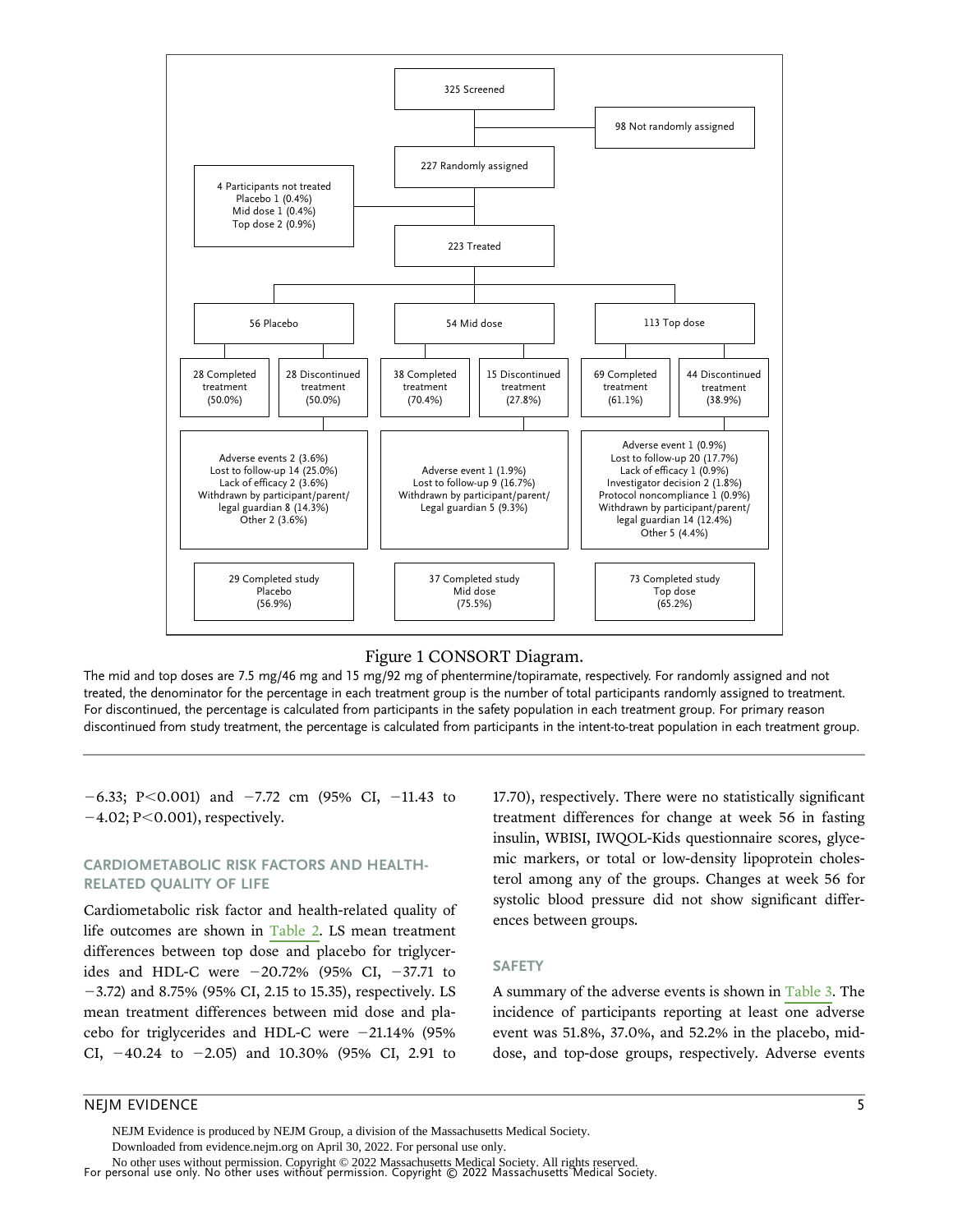<span id="page-4-0"></span>

#### Figure 1 CONSORT Diagram.

The mid and top doses are 7.5 mg/46 mg and 15 mg/92 mg of phentermine/topiramate, respectively. For randomly assigned and not treated, the denominator for the percentage in each treatment group is the number of total participants randomly assigned to treatment. For discontinued, the percentage is calculated from participants in the safety population in each treatment group. For primary reason discontinued from study treatment, the percentage is calculated from participants in the intent-to-treat population in each treatment group.

 $-6.33$ ; P $< 0.001$ ) and  $-7.72$  cm (95% CI,  $-11.43$  to  $-4.02$ ; P $< 0.001$ ), respectively.

#### CARDIOMETABOLIC RISK FACTORS AND HEALTH-RELATED QUALITY OF LIFE

Cardiometabolic risk factor and health-related quality of life outcomes are shown in [Table 2](#page-6-0). LS mean treatment differences between top dose and placebo for triglycerides and HDL-C were  $-20.72\%$  (95% CI,  $-37.71$  to  $-3.72$ ) and 8.75% (95% CI, 2.15 to 15.35), respectively. LS mean treatment differences between mid dose and placebo for triglycerides and HDL-C were  $-21.14\%$  (95% CI,  $-40.24$  to  $-2.05$ ) and 10.30% (95% CI, 2.91 to 17.70), respectively. There were no statistically significant treatment differences for change at week 56 in fasting insulin, WBISI, IWQOL-Kids questionnaire scores, glycemic markers, or total or low-density lipoprotein cholesterol among any of the groups. Changes at week 56 for systolic blood pressure did not show significant differences between groups.

#### **SAFETY**

A summary of the adverse events is shown in [Table 3.](#page-8-0) The incidence of participants reporting at least one adverse event was 51.8%, 37.0%, and 52.2% in the placebo, middose, and top-dose groups, respectively. Adverse events

#### NEJM EVIDENCE 5

NEJM Evidence is produced by NEJM Group, a division of the Massachusetts Medical Society.

Downloaded from evidence.nejm.org on April 30, 2022. For personal use only.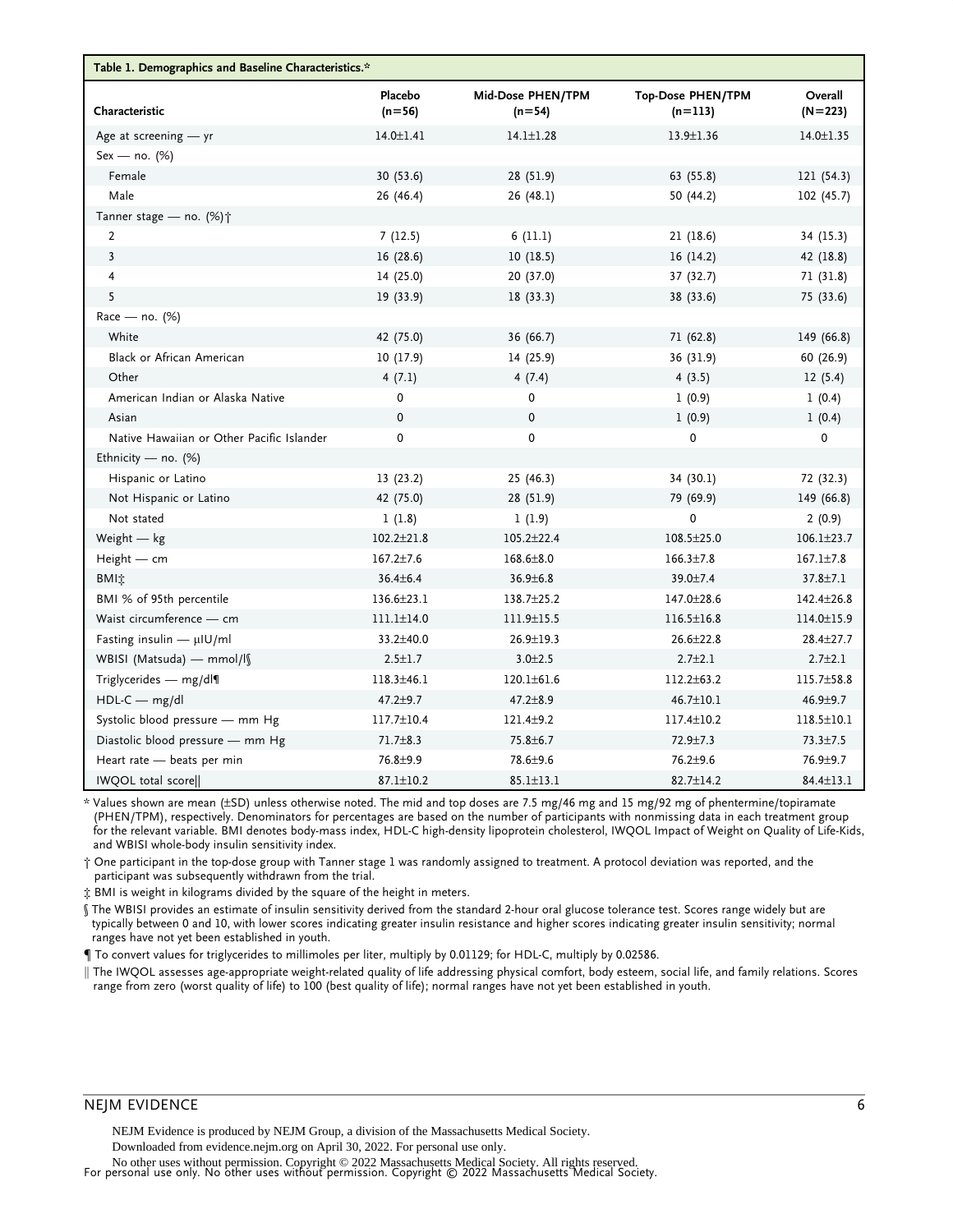<span id="page-5-0"></span>

| Table 1. Demographics and Baseline Characteristics.* |                     |                               |                                       |                      |  |  |  |  |
|------------------------------------------------------|---------------------|-------------------------------|---------------------------------------|----------------------|--|--|--|--|
| Characteristic                                       | Placebo<br>$(n=56)$ | Mid-Dose PHEN/TPM<br>$(n=54)$ | <b>Top-Dose PHEN/TPM</b><br>$(n=113)$ | Overall<br>$(N=223)$ |  |  |  |  |
| Age at screening $-$ yr                              | $14.0 \pm 1.41$     | $14.1 \pm 1.28$               | 13.9±1.36                             | $14.0 \pm 1.35$      |  |  |  |  |
| $Sex - no. (%)$                                      |                     |                               |                                       |                      |  |  |  |  |
| Female                                               | 30(53.6)            | 28 (51.9)                     | 63 (55.8)                             | 121 (54.3)           |  |  |  |  |
| Male                                                 | 26 (46.4)           | 26 (48.1)                     | 50 (44.2)                             | 102 (45.7)           |  |  |  |  |
| Tanner stage - no. (%) <sup>+</sup>                  |                     |                               |                                       |                      |  |  |  |  |
| $\overline{2}$                                       | 7(12.5)             | 6(11.1)                       | 21 (18.6)                             | 34 (15.3)            |  |  |  |  |
| $\overline{3}$                                       | 16(28.6)            | 10(18.5)                      | 16(14.2)                              | 42 (18.8)            |  |  |  |  |
| 4                                                    | 14 (25.0)           | 20 (37.0)                     | 37 (32.7)                             | 71 (31.8)            |  |  |  |  |
| 5                                                    | 19 (33.9)           | 18(33.3)                      | 38 (33.6)                             | 75 (33.6)            |  |  |  |  |
| $Race - no.$ (%)                                     |                     |                               |                                       |                      |  |  |  |  |
| White                                                | 42 (75.0)           | 36 (66.7)                     | 71 (62.8)                             | 149 (66.8)           |  |  |  |  |
| Black or African American                            | 10(17.9)            | 14 (25.9)                     | 36 (31.9)                             | 60 (26.9)            |  |  |  |  |
| Other                                                | 4(7.1)              | 4(7.4)                        | 4(3.5)                                | 12(5.4)              |  |  |  |  |
| American Indian or Alaska Native                     | 0                   | 0                             | 1(0.9)                                | 1(0.4)               |  |  |  |  |
| Asian                                                | $\mathbf 0$         | $\mathbf 0$                   | 1(0.9)                                | 1(0.4)               |  |  |  |  |
| Native Hawaiian or Other Pacific Islander            | 0                   | $\mathbf 0$                   | 0                                     | 0                    |  |  |  |  |
| Ethnicity — no. $(\%)$                               |                     |                               |                                       |                      |  |  |  |  |
| Hispanic or Latino                                   | 13(23.2)            | 25(46.3)                      | 34 (30.1)                             | 72 (32.3)            |  |  |  |  |
| Not Hispanic or Latino                               | 42 (75.0)           | 28 (51.9)                     | 79 (69.9)                             | 149 (66.8)           |  |  |  |  |
| Not stated                                           | 1(1.8)              | 1(1.9)                        | $\Omega$                              | 2(0.9)               |  |  |  |  |
| Weight $-$ kg                                        | $102.2 \pm 21.8$    | $105.2 \pm 22.4$              | $108.5 \pm 25.0$                      | $106.1 \pm 23.7$     |  |  |  |  |
| $Height - cm$                                        | $167.2 \pm 7.6$     | 168.6±8.0                     | $166.3 \pm 7.8$                       | $167.1 \pm 7.8$      |  |  |  |  |
| BMIt                                                 | 36.4±6.4            | $36.9 \pm 6.8$                | 39.0±7.4                              | $37.8 \pm 7.1$       |  |  |  |  |
| BMI % of 95th percentile                             | 136.6±23.1          | 138.7±25.2                    | 147.0±28.6                            | 142.4±26.8           |  |  |  |  |
| Waist circumference - cm                             | $111.1 \pm 14.0$    | 111.9±15.5                    | $116.5 \pm 16.8$                      | 114.0±15.9           |  |  |  |  |
| Fasting insulin $- \mu$ IU/ml                        | 33.2±40.0           | 26.9±19.3                     | 26.6±22.8                             | 28.4±27.7            |  |  |  |  |
| WBISI (Matsuda) — mmol/l                             | $2.5 \pm 1.7$       | $3.0 + 2.5$                   | $2.7 \pm 2.1$                         | $2.7 + 2.1$          |  |  |  |  |
| Triglycerides $-$ mg/dl                              | 118.3±46.1          | 120.1±61.6                    | $112.2 \pm 63.2$                      | 115.7±58.8           |  |  |  |  |
| $HDL-C$ mg/dl                                        | $47.2 + 9.7$        | $47.2 + 8.9$                  | 46.7±10.1                             | $46.9 + 9.7$         |  |  |  |  |
| Systolic blood pressure - mm Hg                      | 117.7±10.4          | 121.4±9.2                     | 117.4±10.2                            | $118.5 \pm 10.1$     |  |  |  |  |
| Diastolic blood pressure - mm Hg                     | $71.7 \pm 8.3$      | 75.8±6.7                      | $72.9 \pm 7.3$                        | $73.3 \pm 7.5$       |  |  |  |  |
| Heart rate - beats per min                           | 76.8±9.9            | 78.6±9.6                      | $76.2 + 9.6$                          | 76.9±9.7             |  |  |  |  |
| IWQOL total score                                    | 87.1±10.2           | $85.1 \pm 13.1$               | 82.7±14.2                             | 84.4±13.1            |  |  |  |  |

\* Values shown are mean (–SD) unless otherwise noted. The mid and top doses are 7.5 mg/46 mg and 15 mg/92 mg of phentermine/topiramate (PHEN/TPM), respectively. Denominators for percentages are based on the number of participants with nonmissing data in each treatment group for the relevant variable. BMI denotes body-mass index, HDL-C high-density lipoprotein cholesterol, IWQOL Impact of Weight on Quality of Life-Kids, and WBISI whole-body insulin sensitivity index.

† One participant in the top-dose group with Tanner stage 1 was randomly assigned to treatment. A protocol deviation was reported, and the participant was subsequently withdrawn from the trial.

‡ BMI is weight in kilograms divided by the square of the height in meters.

§ The WBISI provides an estimate of insulin sensitivity derived from the standard 2-hour oral glucose tolerance test. Scores range widely but are typically between 0 and 10, with lower scores indicating greater insulin resistance and higher scores indicating greater insulin sensitivity; normal ranges have not yet been established in youth.

¶ To convert values for triglycerides to millimoles per liter, multiply by 0.01129; for HDL-C, multiply by 0.02586.

k The IWQOL assesses age-appropriate weight-related quality of life addressing physical comfort, body esteem, social life, and family relations. Scores range from zero (worst quality of life) to 100 (best quality of life); normal ranges have not yet been established in youth.

#### NEJM EVIDENCE 6

NEJM Evidence is produced by NEJM Group, a division of the Massachusetts Medical Society.

Downloaded from evidence.nejm.org on April 30, 2022. For personal use only.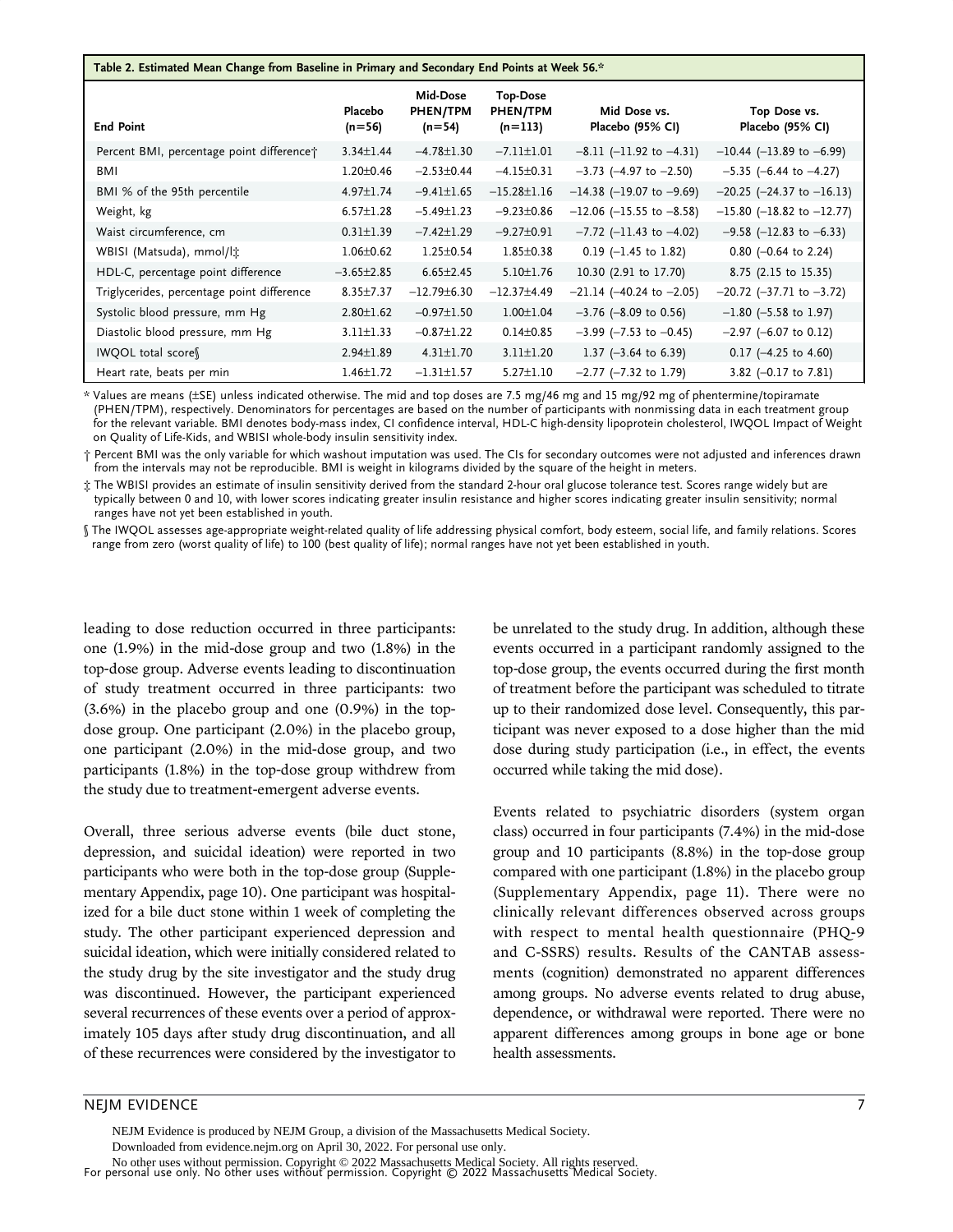#### <span id="page-6-0"></span>Table 2. Estimated Mean Change from Baseline in Primary and Secondary End Points at Week 56.\*

| <b>End Point</b>                           | Placebo<br>$(n=56)$ | Mid-Dose<br>PHEN/TPM<br>$(n=54)$ | <b>Top-Dose</b><br>PHEN/TPM<br>$(n=113)$ | Mid Dose vs.<br>Placebo (95% CI) | Top Dose vs.<br>Placebo (95% CI)  |
|--------------------------------------------|---------------------|----------------------------------|------------------------------------------|----------------------------------|-----------------------------------|
| Percent BMI, percentage point difference;  | $3.34 \pm 1.44$     | $-4.78 \pm 1.30$                 | $-7.11 \pm 1.01$                         | $-8.11$ (-11.92 to $-4.31$ )     | $-10.44$ (-13.89 to -6.99)        |
| BMI                                        | $1.20 \pm 0.46$     | $-2.53 \pm 0.44$                 | $-4.15 \pm 0.31$                         | $-3.73$ (-4.97 to $-2.50$ )      | $-5.35$ (-6.44 to $-4.27$ )       |
| BMI % of the 95th percentile               | $4.97 \pm 1.74$     | $-9.41 \pm 1.65$                 | $-15.28 \pm 1.16$                        | $-14.38$ (-19.07 to -9.69)       | $-20.25$ ( $-24.37$ to $-16.13$ ) |
| Weight, kg                                 | $6.57 \pm 1.28$     | $-5.49 \pm 1.23$                 | $-9.23 \pm 0.86$                         | $-12.06$ ( $-15.55$ to $-8.58$ ) | $-15.80$ (-18.82 to -12.77)       |
| Waist circumference, cm                    | $0.31 \pm 1.39$     | $-7.42 \pm 1.29$                 | $-9.27 \pm 0.91$                         | $-7.72$ (-11.43 to -4.02)        | $-9.58$ (-12.83 to -6.33)         |
| WBISI (Matsuda), mmol/lt                   | $1.06 \pm 0.62$     | $1.25 \pm 0.54$                  | $1.85 \pm 0.38$                          | $0.19$ (-1.45 to 1.82)           | $0.80$ (-0.64 to 2.24)            |
| HDL-C, percentage point difference         | $-3.65 \pm 2.85$    | $6.65 \pm 2.45$                  | $5.10 \pm 1.76$                          | 10.30 (2.91 to 17.70)            | 8.75 (2.15 to 15.35)              |
| Triglycerides, percentage point difference | $8.35 \pm 7.37$     | $-12.79\pm 6.30$                 | $-12.37±4.49$                            | $-21.14$ (-40.24 to $-2.05$ )    | $-20.72$ ( $-37.71$ to $-3.72$ )  |
| Systolic blood pressure, mm Hg             | $2.80 \pm 1.62$     | $-0.97 \pm 1.50$                 | $1.00 \pm 1.04$                          | $-3.76$ ( $-8.09$ to 0.56)       | $-1.80$ (-5.58 to 1.97)           |
| Diastolic blood pressure, mm Hg            | $3.11 \pm 1.33$     | $-0.87 \pm 1.22$                 | $0.14 \pm 0.85$                          | $-3.99$ ( $-7.53$ to $-0.45$ )   | $-2.97$ (-6.07 to 0.12)           |
| IWQOL total score                          | $2.94 \pm 1.89$     | $4.31 \pm 1.70$                  | $3.11 \pm 1.20$                          | 1.37 $(-3.64 \text{ to } 6.39)$  | $0.17$ (-4.25 to 4.60)            |
| Heart rate, beats per min                  | $1.46 \pm 1.72$     | $-1.31 \pm 1.57$                 | $5.27 \pm 1.10$                          | $-2.77$ ( $-7.32$ to 1.79)       | 3.82 $(-0.17$ to 7.81)            |

\* Values are means (–SE) unless indicated otherwise. The mid and top doses are 7.5 mg/46 mg and 15 mg/92 mg of phentermine/topiramate (PHEN/TPM), respectively. Denominators for percentages are based on the number of participants with nonmissing data in each treatment group for the relevant variable. BMI denotes body-mass index, CI confidence interval, HDL-C high-density lipoprotein cholesterol, IWQOL Impact of Weight on Quality of Life-Kids, and WBISI whole-body insulin sensitivity index.

† Percent BMI was the only variable for which washout imputation was used. The CIs for secondary outcomes were not adjusted and inferences drawn from the intervals may not be reproducible. BMI is weight in kilograms divided by the square of the height in meters.

‡ The WBISI provides an estimate of insulin sensitivity derived from the standard 2-hour oral glucose tolerance test. Scores range widely but are typically between 0 and 10, with lower scores indicating greater insulin resistance and higher scores indicating greater insulin sensitivity; normal ranges have not yet been established in youth.

§ The IWQOL assesses age-appropriate weight-related quality of life addressing physical comfort, body esteem, social life, and family relations. Scores range from zero (worst quality of life) to 100 (best quality of life); normal ranges have not yet been established in youth.

leading to dose reduction occurred in three participants: one (1.9%) in the mid-dose group and two (1.8%) in the top-dose group. Adverse events leading to discontinuation of study treatment occurred in three participants: two (3.6%) in the placebo group and one (0.9%) in the topdose group. One participant (2.0%) in the placebo group, one participant (2.0%) in the mid-dose group, and two participants (1.8%) in the top-dose group withdrew from the study due to treatment-emergent adverse events.

Overall, three serious adverse events (bile duct stone, depression, and suicidal ideation) were reported in two participants who were both in the top-dose group (Supplementary Appendix, page 10). One participant was hospitalized for a bile duct stone within 1 week of completing the study. The other participant experienced depression and suicidal ideation, which were initially considered related to the study drug by the site investigator and the study drug was discontinued. However, the participant experienced several recurrences of these events over a period of approximately 105 days after study drug discontinuation, and all of these recurrences were considered by the investigator to be unrelated to the study drug. In addition, although these events occurred in a participant randomly assigned to the top-dose group, the events occurred during the first month of treatment before the participant was scheduled to titrate up to their randomized dose level. Consequently, this participant was never exposed to a dose higher than the mid dose during study participation (i.e., in effect, the events occurred while taking the mid dose).

Events related to psychiatric disorders (system organ class) occurred in four participants (7.4%) in the mid-dose group and 10 participants (8.8%) in the top-dose group compared with one participant (1.8%) in the placebo group (Supplementary Appendix, page 11). There were no clinically relevant differences observed across groups with respect to mental health questionnaire (PHQ-9 and C-SSRS) results. Results of the CANTAB assessments (cognition) demonstrated no apparent differences among groups. No adverse events related to drug abuse, dependence, or withdrawal were reported. There were no apparent differences among groups in bone age or bone health assessments.

## NEJM EVIDENCE 7

For personal use only. No other uses without permission. Copyright © 2022 Massachusetts Medical Society. No other uses without permission. Copyright © 2022 Massachusetts Medical Society. All rights reserved. NEJM Evidence is produced by NEJM Group, a division of the Massachusetts Medical Society. Downloaded from evidence.nejm.org on April 30, 2022. For personal use only.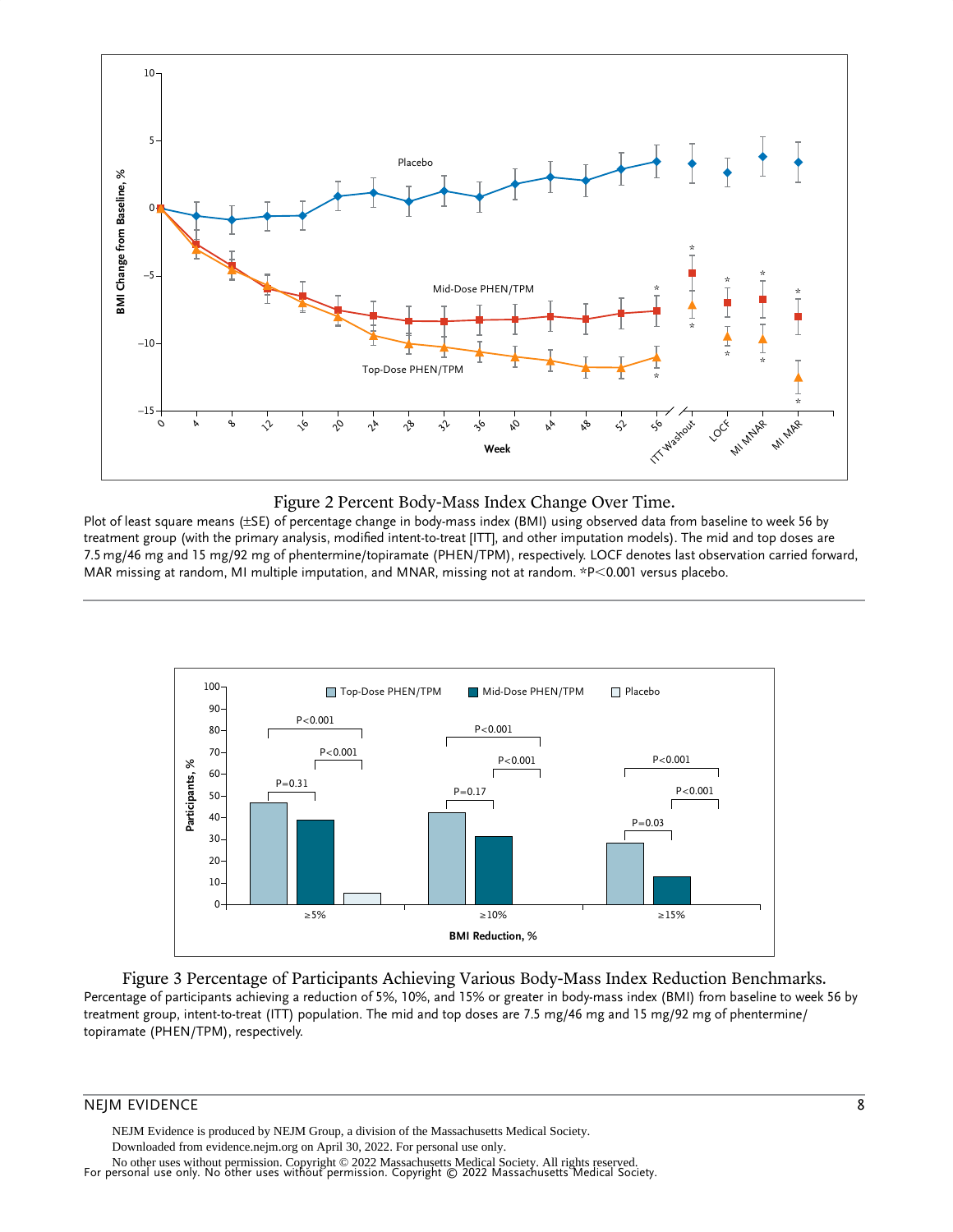<span id="page-7-0"></span>



Plot of least square means (±SE) of percentage change in body-mass index (BMI) using observed data from baseline to week 56 by treatment group (with the primary analysis, modified intent-to-treat [ITT], and other imputation models). The mid and top doses are 7.5 mg/46 mg and 15 mg/92 mg of phentermine/topiramate (PHEN/TPM), respectively. LOCF denotes last observation carried forward, MAR missing at random, MI multiple imputation, and MNAR, missing not at random. \*P<0.001 versus placebo.



Figure 3 Percentage of Participants Achieving Various Body-Mass Index Reduction Benchmarks. Percentage of participants achieving a reduction of 5%, 10%, and 15% or greater in body-mass index (BMI) from baseline to week 56 by treatment group, intent-to-treat (ITT) population. The mid and top doses are 7.5 mg/46 mg and 15 mg/92 mg of phentermine/ topiramate (PHEN/TPM), respectively.

#### NEJM EVIDENCE 8

NEJM Evidence is produced by NEJM Group, a division of the Massachusetts Medical Society. Downloaded from evidence.nejm.org on April 30, 2022. For personal use only.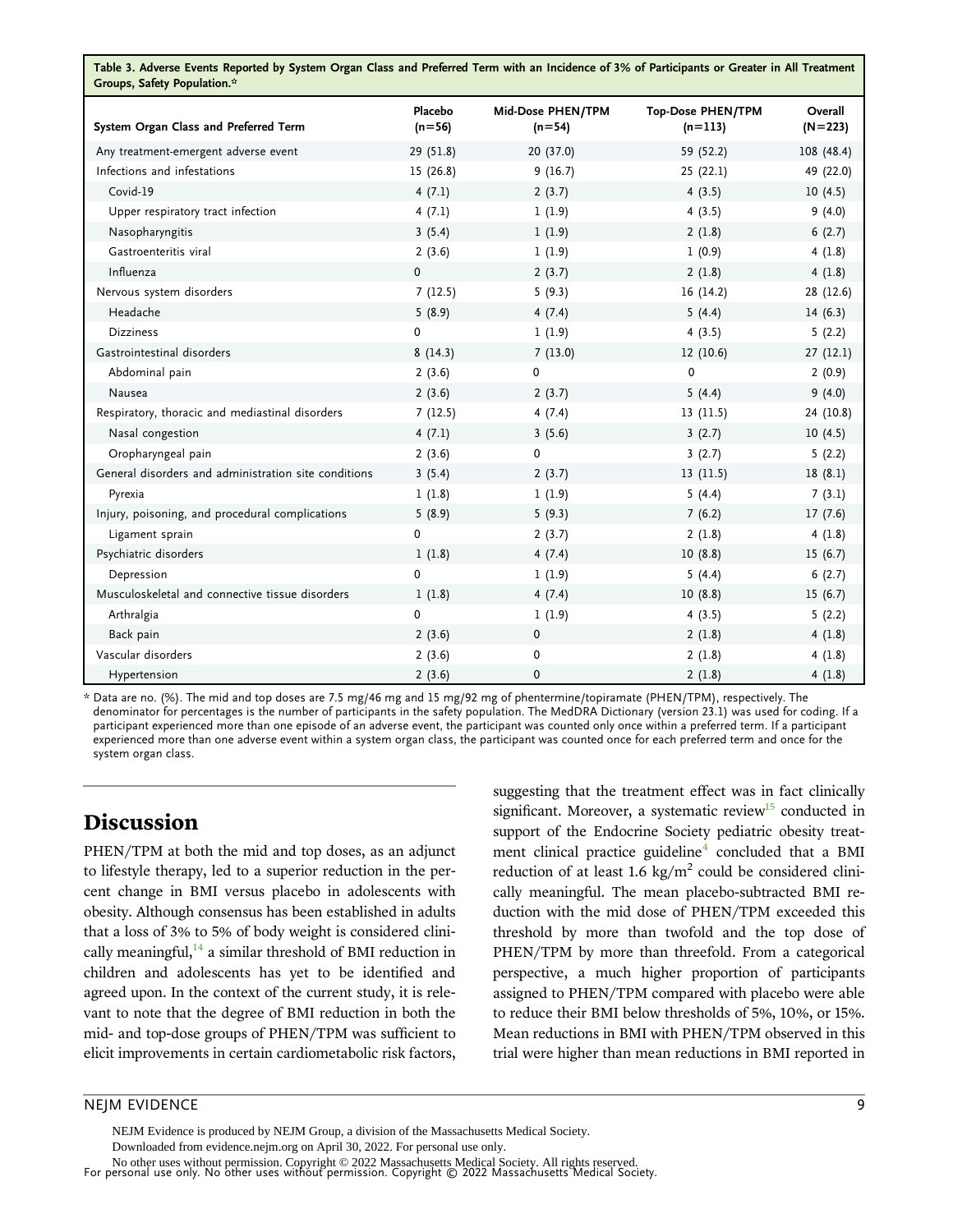<span id="page-8-0"></span>

| Table 3. Adverse Events Reported by System Organ Class and Preferred Term with an Incidence of 3% of Participants or Greater in All Treatment<br>Groups, Safety Population.* |                     |                               |                                       |                      |  |  |  |
|------------------------------------------------------------------------------------------------------------------------------------------------------------------------------|---------------------|-------------------------------|---------------------------------------|----------------------|--|--|--|
| System Organ Class and Preferred Term                                                                                                                                        | Placebo<br>$(n=56)$ | Mid-Dose PHEN/TPM<br>$(n=54)$ | <b>Top-Dose PHEN/TPM</b><br>$(n=113)$ | Overall<br>$(N=223)$ |  |  |  |
| Any treatment-emergent adverse event                                                                                                                                         | 29 (51.8)           | 20 (37.0)                     | 59 (52.2)                             | 108 (48.4)           |  |  |  |
| Infections and infestations                                                                                                                                                  | 15 (26.8)           | 9(16.7)                       | 25(22.1)                              | 49 (22.0)            |  |  |  |
| Covid-19                                                                                                                                                                     | 4(7.1)              | 2(3.7)                        | 4(3.5)                                | 10(4.5)              |  |  |  |
| Upper respiratory tract infection                                                                                                                                            | 4(7.1)              | 1(1.9)                        | 4(3.5)                                | 9(4.0)               |  |  |  |
| Nasopharyngitis                                                                                                                                                              | 3(5.4)              | 1(1.9)                        | 2(1.8)                                | 6(2.7)               |  |  |  |
| Gastroenteritis viral                                                                                                                                                        | 2(3.6)              | 1(1.9)                        | 1(0.9)                                | 4(1.8)               |  |  |  |
| Influenza                                                                                                                                                                    | 0                   | 2(3.7)                        | 2(1.8)                                | 4(1.8)               |  |  |  |
| Nervous system disorders                                                                                                                                                     | 7(12.5)             | 5(9.3)                        | 16(14.2)                              | 28 (12.6)            |  |  |  |
| Headache                                                                                                                                                                     | 5(8.9)              | 4(7.4)                        | 5(4.4)                                | 14(6.3)              |  |  |  |
| <b>Dizziness</b>                                                                                                                                                             | 0                   | 1(1.9)                        | 4(3.5)                                | 5(2.2)               |  |  |  |
| Gastrointestinal disorders                                                                                                                                                   | 8(14.3)             | 7(13.0)                       | 12 (10.6)                             | 27(12.1)             |  |  |  |
| Abdominal pain                                                                                                                                                               | 2(3.6)              | 0                             | 0                                     | 2(0.9)               |  |  |  |
| Nausea                                                                                                                                                                       | 2(3.6)              | 2(3.7)                        | 5(4.4)                                | 9(4.0)               |  |  |  |
| Respiratory, thoracic and mediastinal disorders                                                                                                                              | 7(12.5)             | 4(7.4)                        | 13 (11.5)                             | 24 (10.8)            |  |  |  |
| Nasal congestion                                                                                                                                                             | 4(7.1)              | 3(5.6)                        | 3(2.7)                                | 10(4.5)              |  |  |  |
| Oropharyngeal pain                                                                                                                                                           | 2(3.6)              | 0                             | 3(2.7)                                | 5(2.2)               |  |  |  |
| General disorders and administration site conditions                                                                                                                         | 3(5.4)              | 2(3.7)                        | 13(11.5)                              | 18(8.1)              |  |  |  |
| Pyrexia                                                                                                                                                                      | 1(1.8)              | 1(1.9)                        | 5(4.4)                                | 7(3.1)               |  |  |  |
| Injury, poisoning, and procedural complications                                                                                                                              | 5(8.9)              | 5(9.3)                        | 7(6.2)                                | 17(7.6)              |  |  |  |
| Ligament sprain                                                                                                                                                              | 0                   | 2(3.7)                        | 2(1.8)                                | 4(1.8)               |  |  |  |
| Psychiatric disorders                                                                                                                                                        | 1(1.8)              | 4(7.4)                        | 10(8.8)                               | 15(6.7)              |  |  |  |
| Depression                                                                                                                                                                   | 0                   | 1(1.9)                        | 5(4.4)                                | 6(2.7)               |  |  |  |
| Musculoskeletal and connective tissue disorders                                                                                                                              | 1(1.8)              | 4(7.4)                        | 10(8.8)                               | 15(6.7)              |  |  |  |
| Arthralgia                                                                                                                                                                   | 0                   | 1(1.9)                        | 4(3.5)                                | 5(2.2)               |  |  |  |
| Back pain                                                                                                                                                                    | 2(3.6)              | 0                             | 2(1.8)                                | 4(1.8)               |  |  |  |
| Vascular disorders                                                                                                                                                           | 2(3.6)              | 0                             | 2(1.8)                                | 4(1.8)               |  |  |  |
| Hypertension                                                                                                                                                                 | 2(3.6)              | $\mathbf 0$                   | 2(1.8)                                | 4(1.8)               |  |  |  |

\* Data are no. (%). The mid and top doses are 7.5 mg/46 mg and 15 mg/92 mg of phentermine/topiramate (PHEN/TPM), respectively. The denominator for percentages is the number of participants in the safety population. The MedDRA Dictionary (version 23.1) was used for coding. If a participant experienced more than one episode of an adverse event, the participant was counted only once within a preferred term. If a participant experienced more than one adverse event within a system organ class, the participant was counted once for each preferred term and once for the system organ class.

# Discussion

PHEN/TPM at both the mid and top doses, as an adjunct to lifestyle therapy, led to a superior reduction in the percent change in BMI versus placebo in adolescents with obesity. Although consensus has been established in adults that a loss of 3% to 5% of body weight is considered clinically meaningful, $^{14}$  $^{14}$  $^{14}$  a similar threshold of BMI reduction in children and adolescents has yet to be identified and agreed upon. In the context of the current study, it is relevant to note that the degree of BMI reduction in both the mid- and top-dose groups of PHEN/TPM was sufficient to elicit improvements in certain cardiometabolic risk factors,

suggesting that the treatment effect was in fact clinically significant. Moreover, a systematic review<sup>[15](#page-10-0)</sup> conducted in support of the Endocrine Society pediatric obesity treatment clinical practice guideline<sup>4</sup> concluded that a BMI reduction of at least 1.6 kg/ $m^2$  could be considered clinically meaningful. The mean placebo-subtracted BMI reduction with the mid dose of PHEN/TPM exceeded this threshold by more than twofold and the top dose of PHEN/TPM by more than threefold. From a categorical perspective, a much higher proportion of participants assigned to PHEN/TPM compared with placebo were able to reduce their BMI below thresholds of 5%, 10%, or 15%. Mean reductions in BMI with PHEN/TPM observed in this trial were higher than mean reductions in BMI reported in

## NEJM EVIDENCE 9

NEJM Evidence is produced by NEJM Group, a division of the Massachusetts Medical Society.

Downloaded from evidence.nejm.org on April 30, 2022. For personal use only.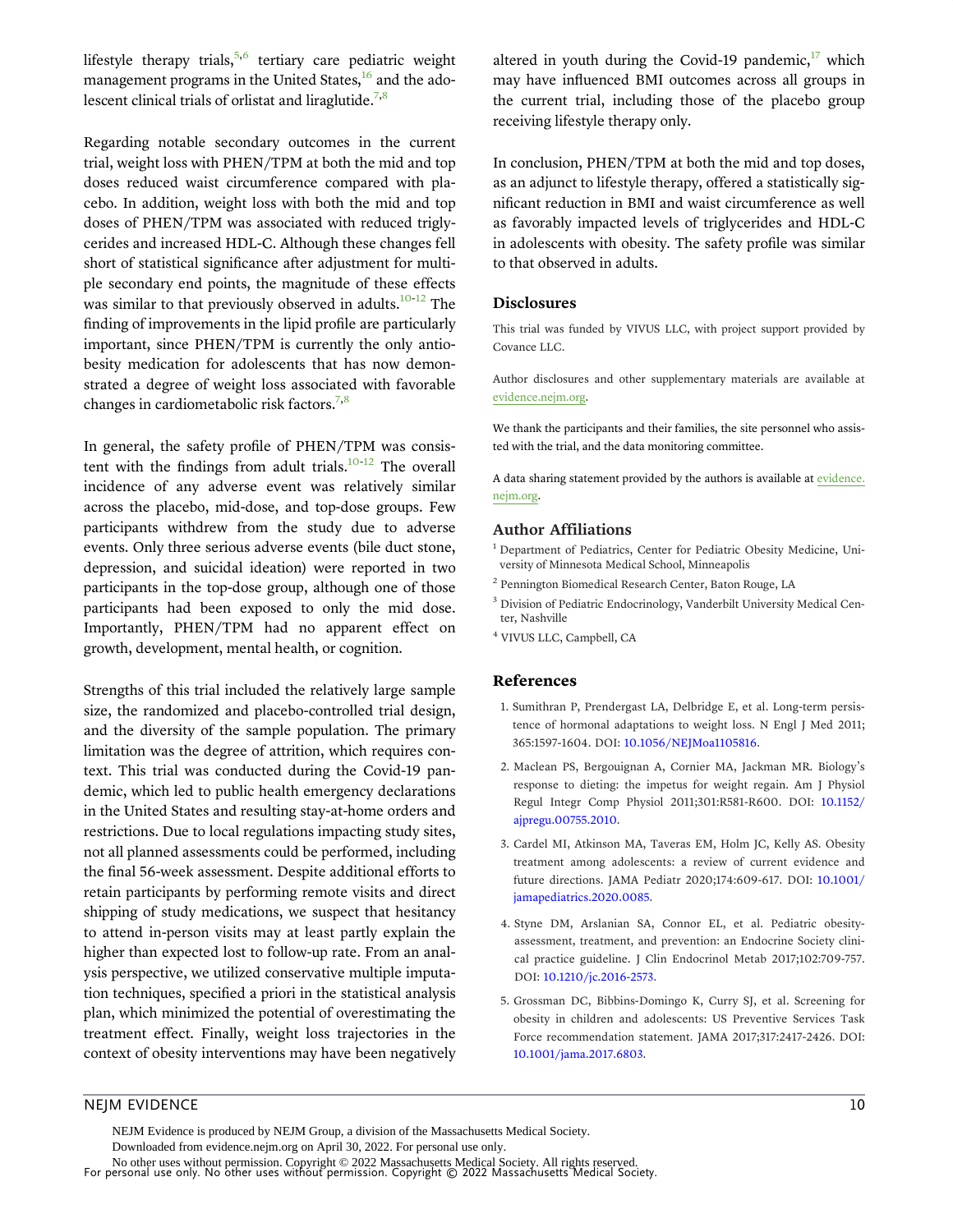<span id="page-9-0"></span>lifestyle therapy trials, $5,6$  $5,6$  tertiary care pediatric weight management programs in the United States, $\frac{16}{6}$  and the adolescent clinical trials of orlistat and liraglutide.<sup>7,8</sup>

Regarding notable secondary outcomes in the current trial, weight loss with PHEN/TPM at both the mid and top doses reduced waist circumference compared with placebo. In addition, weight loss with both the mid and top doses of PHEN/TPM was associated with reduced triglycerides and increased HDL-C. Although these changes fell short of statistical significance after adjustment for multiple secondary end points, the magnitude of these effects was similar to that previously observed in adults. $10^{-12}$  The finding of improvements in the lipid profile are particularly important, since PHEN/TPM is currently the only antiobesity medication for adolescents that has now demonstrated a degree of weight loss associated with favorable changes in cardiometabolic risk factors.<sup>7,8</sup>

In general, the safety profile of PHEN/TPM was consistent with the findings from adult trials. $10^{-12}$  The overall incidence of any adverse event was relatively similar across the placebo, mid-dose, and top-dose groups. Few participants withdrew from the study due to adverse events. Only three serious adverse events (bile duct stone, depression, and suicidal ideation) were reported in two participants in the top-dose group, although one of those participants had been exposed to only the mid dose. Importantly, PHEN/TPM had no apparent effect on growth, development, mental health, or cognition.

Strengths of this trial included the relatively large sample size, the randomized and placebo-controlled trial design, and the diversity of the sample population. The primary limitation was the degree of attrition, which requires context. This trial was conducted during the Covid-19 pandemic, which led to public health emergency declarations in the United States and resulting stay-at-home orders and restrictions. Due to local regulations impacting study sites, not all planned assessments could be performed, including the final 56-week assessment. Despite additional efforts to retain participants by performing remote visits and direct shipping of study medications, we suspect that hesitancy to attend in-person visits may at least partly explain the higher than expected lost to follow-up rate. From an analysis perspective, we utilized conservative multiple imputation techniques, specified a priori in the statistical analysis plan, which minimized the potential of overestimating the treatment effect. Finally, weight loss trajectories in the context of obesity interventions may have been negatively altered in youth during the Covid-19 pandemic, $17$  which may have influenced BMI outcomes across all groups in the current trial, including those of the placebo group receiving lifestyle therapy only.

In conclusion, PHEN/TPM at both the mid and top doses, as an adjunct to lifestyle therapy, offered a statistically significant reduction in BMI and waist circumference as well as favorably impacted levels of triglycerides and HDL-C in adolescents with obesity. The safety profile was similar to that observed in adults.

#### Disclosures

This trial was funded by VIVUS LLC, with project support provided by Covance LLC.

Author disclosures and other supplementary materials are available at [evidence.nejm.org](http://evidence.nejm.org).

We thank the participants and their families, the site personnel who assisted with the trial, and the data monitoring committee.

A data sharing statement provided by the authors is available at [evidence.](http://evidence.nejm.org) [nejm.org.](http://evidence.nejm.org)

#### Author Affiliations

- <sup>1</sup> Department of Pediatrics, Center for Pediatric Obesity Medicine, University of Minnesota Medical School, Minneapolis
- <sup>2</sup> Pennington Biomedical Research Center, Baton Rouge, LA
- <sup>3</sup> Division of Pediatric Endocrinology, Vanderbilt University Medical Center, Nashville
- <sup>4</sup> VIVUS LLC, Campbell, CA

#### References

- 1. Sumithran P, Prendergast LA, Delbridge E, et al. Long-term persistence of hormonal adaptations to weight loss. N Engl J Med 2011; 365:1597-1604. DOI: [10.1056/NEJMoa1105816](https://pubmed.ncbi.nlm.nih.gov/22029981/).
- 2. Maclean PS, Bergouignan A, Cornier MA, Jackman MR. Biology's response to dieting: the impetus for weight regain. Am J Physiol Regul Integr Comp Physiol 2011;301:R581-R600. DOI: [10.1152/](https://pubmed.ncbi.nlm.nih.gov/21677272/) [ajpregu.00755.2010](https://pubmed.ncbi.nlm.nih.gov/21677272/).
- 3. Cardel MI, Atkinson MA, Taveras EM, Holm JC, Kelly AS. Obesity treatment among adolescents: a review of current evidence and future directions. JAMA Pediatr 2020;174:609-617. DOI: [10.1001/](https://pubmed.ncbi.nlm.nih.gov/32202626/) [jamapediatrics.2020.0085](https://pubmed.ncbi.nlm.nih.gov/32202626/).
- 4. Styne DM, Arslanian SA, Connor EL, et al. Pediatric obesityassessment, treatment, and prevention: an Endocrine Society clinical practice guideline. J Clin Endocrinol Metab 2017;102:709-757. DOI: [10.1210/jc.2016-2573](https://pubmed.ncbi.nlm.nih.gov/28359099/).
- 5. Grossman DC, Bibbins-Domingo K, Curry SJ, et al. Screening for obesity in children and adolescents: US Preventive Services Task Force recommendation statement. JAMA 2017;317:2417-2426. DOI: [10.1001/jama.2017.6803](https://pubmed.ncbi.nlm.nih.gov/28632874/).

#### NEJM EVIDENCE 10

NEJM Evidence is produced by NEJM Group, a division of the Massachusetts Medical Society. Downloaded from evidence.nejm.org on April 30, 2022. For personal use only.